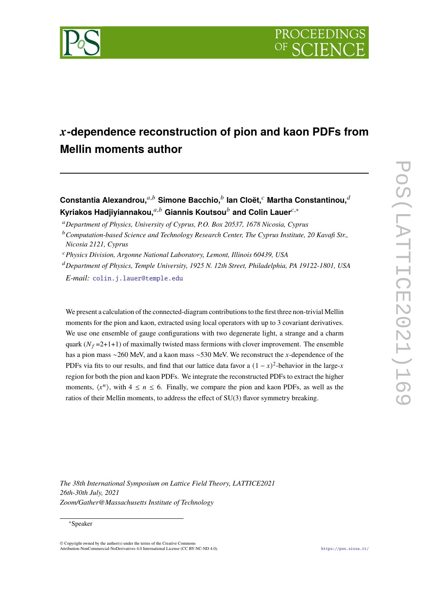

# 𝒙**-dependence reconstruction of pion and kaon PDFs from Mellin moments author**

 $\mathsf{Constant}$ ia Alexandrou, $^{a,b}$  Simone Bacchio, $^b$  lan Cloët, $^c$  Martha Constantinou, $^{\widetilde{a}}$ **Kyriakos Hadjiyiannakou,**<sup>a,b</sup> Giannis Koutsou<sup>b</sup> and Colin Lauer<sup>c,∗</sup>

<sup>𝑎</sup>*Department of Physics, University of Cyprus, P.O. Box 20537, 1678 Nicosia, Cyprus*

<sup>𝑐</sup>*Physics Division, Argonne National Laboratory, Lemont, Illinois 60439, USA*

<sup>𝑑</sup>*Department of Physics, Temple University, 1925 N. 12th Street, Philadelphia, PA 19122-1801, USA*

*E-mail:* [colin.j.lauer@temple.edu](mailto:colin.j.lauer@temple.edu)

We present a calculation of the connected-diagram contributions to the first three non-trivial Mellin moments for the pion and kaon, extracted using local operators with up to 3 covariant derivatives. We use one ensemble of gauge configurations with two degenerate light, a strange and a charm quark ( $N_f = 2+1+1$ ) of maximally twisted mass fermions with clover improvement. The ensemble has a pion mass  $\sim$ 260 MeV, and a kaon mass  $\sim$ 530 MeV. We reconstruct the x-dependence of the PDFs via fits to our results, and find that our lattice data favor a  $(1 - x)^2$ -behavior in the large-x region for both the pion and kaon PDFs. We integrate the reconstructed PDFs to extract the higher moments,  $\langle x^n \rangle$ , with  $4 \le n \le 6$ . Finally, we compare the pion and kaon PDFs, as well as the ratios of their Mellin moments, to address the effect of SU(3) flavor symmetry breaking.

*The 38th International Symposium on Lattice Field Theory, LATTICE2021 26th-30th July, 2021 Zoom/Gather@Massachusetts Institute of Technology*

#### ∗Speaker

 $\odot$  Copyright owned by the author(s) under the terms of the Creative Common Attribution-NonCommercial-NoDerivatives 4.0 International License (CC BY-NC-ND 4.0). <https://pos.sissa.it/>

<sup>&</sup>lt;sup>b</sup> Computation-based Science and Technology Research Center, The Cyprus Institute, 20 Kavafi Str., *Nicosia 2121, Cyprus*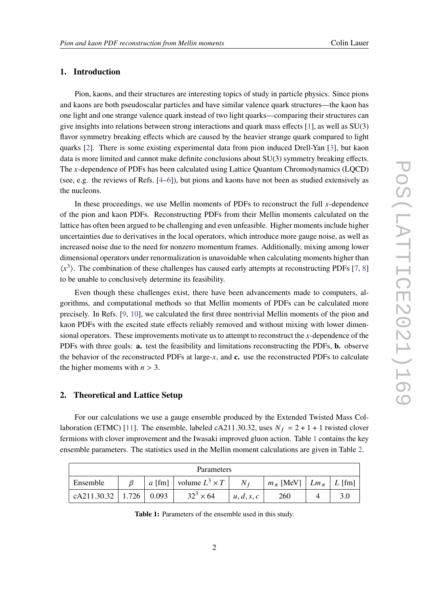## **1. Introduction**

Pion, kaons, and their structures are interesting topics of study in particle physics. Since pions and kaons are both pseudoscalar particles and have similar valence quark structures—the kaon has one light and one strange valence quark instead of two light quarks—comparing their structures can give insights into relations between strong interactions and quark mass effects [\[1\]](#page-8-0), as well as SU(3) flavor symmetry breaking effects which are caused by the heavier strange quark compared to light quarks [\[2\]](#page-8-1). There is some existing experimental data from pion induced Drell-Yan [\[3\]](#page-9-0), but kaon data is more limited and cannot make definite conclusions about SU(3) symmetry breaking effects. The x-dependence of PDFs has been calculated using Lattice Quantum Chromodynamics (LQCD) (see, e.g. the reviews of Refs. [\[4–](#page-9-1)[6\]](#page-9-2)), but pions and kaons have not been as studied extensively as the nucleons.

In these proceedings, we use Mellin moments of PDFs to reconstruct the full x-dependence of the pion and kaon PDFs. Reconstructing PDFs from their Mellin moments calculated on the lattice has often been argued to be challenging and even unfeasible. Higher moments include higher uncertainties due to derivatives in the local operators, which introduce more gauge noise, as well as increased noise due to the need for nonzero momentum frames. Additionally, mixing among lower dimensional operators under renormalization is unavoidable when calculating moments higher than  $\langle x^3 \rangle$ . The combination of these challenges has caused early attempts at reconstructing PDFs [\[7,](#page-9-3) [8\]](#page-9-4) to be unable to conclusively determine its feasibility.

Even though these challenges exist, there have been advancements made to computers, algorithms, and computational methods so that Mellin moments of PDFs can be calculated more precisely. In Refs. [\[9,](#page-9-5) [10\]](#page-9-6), we calculated the first three nontrivial Mellin moments of the pion and kaon PDFs with the excited state effects reliably removed and without mixing with lower dimensional operators. These improvements motivate us to attempt to reconstruct the *-dependence of the* PDFs with three goals: **a.** test the feasibility and limitations reconstructing the PDFs, **b.** observe the behavior of the reconstructed PDFs at large- $x$ , and  $c$ . use the reconstructed PDFs to calculate the higher moments with  $n > 3$ .

## **2. Theoretical and Lattice Setup**

For our calculations we use a gauge ensemble produced by the Extended Twisted Mass Col-laboration (ETMC) [\[11\]](#page-9-7). The ensemble, labeled cA211.30.32, uses  $N_f = 2 + 1 + 1$  twisted clover fermions with clover improvement and the Iwasaki improved gluon action. Table [1](#page-1-0) contains the key ensemble parameters. The statistics used in the Mellin moment calculations are given in Table [2.](#page-2-0)

<span id="page-1-0"></span>

| <b>Parameters</b>           |  |  |                                     |            |                                             |  |
|-----------------------------|--|--|-------------------------------------|------------|---------------------------------------------|--|
| Ensemble                    |  |  | <i>a</i> [fm] volume $L^3 \times T$ | $N_f$      | $m_{\pi}$ [MeV] $\mid Lm_{\pi} \mid L$ [fm] |  |
| cA211.30.32   1.726   0.093 |  |  | $32^3 \times 64$                    | u, d, s, c | 260                                         |  |

**Table 1:** Parameters of the ensemble used in this study.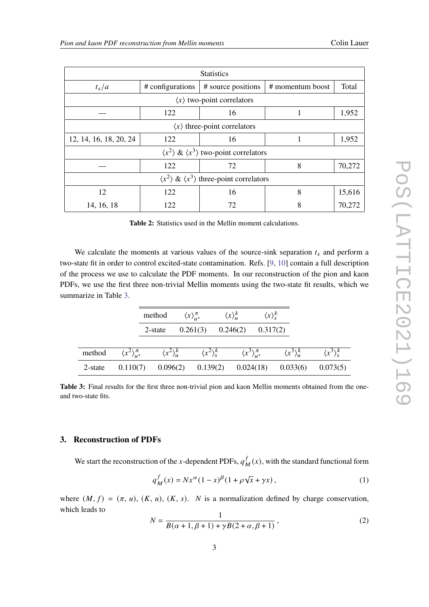<span id="page-2-0"></span>

| <b>Statistics</b>                                                    |                  |                    |                  |        |  |  |  |
|----------------------------------------------------------------------|------------------|--------------------|------------------|--------|--|--|--|
| $t_s/a$                                                              | # configurations | # source positions | # momentum boost | Total  |  |  |  |
| $\langle x \rangle$ two-point correlators                            |                  |                    |                  |        |  |  |  |
| 122                                                                  |                  | 16                 |                  | 1,952  |  |  |  |
| $\langle x \rangle$ three-point correlators                          |                  |                    |                  |        |  |  |  |
| 12, 14, 16, 18, 20, 24                                               | 122              | 16                 |                  | 1,952  |  |  |  |
| $\langle x^2 \rangle \& \langle x^3 \rangle$ two-point correlators   |                  |                    |                  |        |  |  |  |
|                                                                      | 122              | 72                 | 8                | 70,272 |  |  |  |
| $\langle x^2 \rangle \& \langle x^3 \rangle$ three-point correlators |                  |                    |                  |        |  |  |  |
| 122<br>12                                                            |                  | 16                 | 8                | 15,616 |  |  |  |
| 14, 16, 18                                                           | 122              | 72                 | 8                | 70,272 |  |  |  |

**Table 2:** Statistics used in the Mellin moment calculations.

We calculate the moments at various values of the source-sink separation  $t_s$  and perform a two-state fit in order to control excited-state contamination. Refs. [\[9,](#page-9-5) [10\]](#page-9-6) contain a full description of the process we use to calculate the PDF moments. In our reconstruction of the pion and kaon PDFs, we use the first three non-trivial Mellin moments using the two-state fit results, which we summarize in Table [3.](#page-2-1)

<span id="page-2-1"></span>

|         |                                   | method                | $\langle x \rangle_{\mu}^{\pi}$                     | $\langle x \rangle_u^k$ | $\langle x \rangle_{\mathfrak{e}}^k$ |                               |                             |
|---------|-----------------------------------|-----------------------|-----------------------------------------------------|-------------------------|--------------------------------------|-------------------------------|-----------------------------|
|         |                                   | 2-state               | 0.261(3)                                            | 0.246(2)                | 0.317(2)                             |                               |                             |
| method  | $\langle x^2 \rangle_{\mu}^{\pi}$ |                       | $\langle x^2 \rangle_u^k$ $\langle x^2 \rangle_s^k$ |                         | $\langle x^3 \rangle_{\mu}^{\pi}$    | $\langle x^3 \rangle^k_{\mu}$ | $\langle x^3 \rangle_{s}^k$ |
| 2-state |                                   | $0.110(7)$ $0.096(2)$ | 0.139(2)                                            |                         | 0.024(18)                            | 0.033(6)                      | 0.073(5)                    |

**Table 3:** Final results for the first three non-trivial pion and kaon Mellin moments obtained from the oneand two-state fits.

## **3. Reconstruction of PDFs**

We start the reconstruction of the x-dependent PDFs,  $q_x^T$  $\frac{f}{M}(x)$ , with the standard functional form

<span id="page-2-2"></span>
$$
q_M^f(x) = Nx^{\alpha}(1-x)^{\beta}(1+\rho\sqrt{x}+\gamma x), \qquad (1)
$$

where  $(M, f) = (\pi, u)$ ,  $(K, u)$ ,  $(K, s)$ . N is a normalization defined by charge conservation, which leads to

$$
N = \frac{1}{B(\alpha + 1, \beta + 1) + \gamma B(2 + \alpha, \beta + 1)},
$$
\n(2)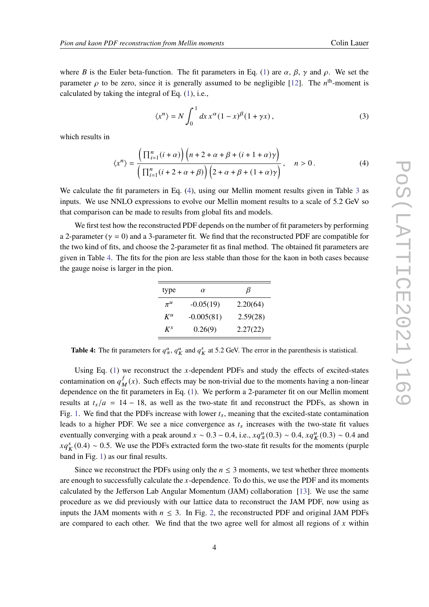where B is the Euler beta-function. The fit parameters in Eq. [\(1\)](#page-2-2) are  $\alpha$ ,  $\beta$ ,  $\gamma$  and  $\rho$ . We set the parameter  $\rho$  to be zero, since it is generally assumed to be negligible [\[12\]](#page-9-8). The  $n<sup>th</sup>$ -moment is calculated by taking the integral of Eq.  $(1)$ , i.e.,

$$
\langle x^n \rangle = N \int_0^1 dx \, x^\alpha (1 - x)^\beta (1 + \gamma x) \,, \tag{3}
$$

which results in

<span id="page-3-0"></span>
$$
\langle x^n \rangle = \frac{\left(\prod_{i=1}^n (i+\alpha)\right) \left(n+2+\alpha+\beta+(i+1+\alpha)\gamma\right)}{\left(\prod_{i=1}^n (i+2+\alpha+\beta)\right) \left(2+\alpha+\beta+(1+\alpha)\gamma\right)}, \quad n > 0. \tag{4}
$$

We calculate the fit parameters in Eq.  $(4)$ , using our Mellin moment results given in Table [3](#page-2-1) as inputs. We use NNLO expressions to evolve our Mellin moment results to a scale of 5.2 GeV so that comparison can be made to results from global fits and models.

<span id="page-3-1"></span>We first test how the reconstructed PDF depends on the number of fit parameters by performing a 2-parameter ( $\gamma = 0$ ) and a 3-parameter fit. We find that the reconstructed PDF are compatible for the two kind of fits, and choose the 2-parameter fit as final method. The obtained fit parameters are given in Table [4.](#page-3-1) The fits for the pion are less stable than those for the kaon in both cases because the gauge noise is larger in the pion.

| type    | $\alpha$     | B        |
|---------|--------------|----------|
| $\pi^u$ | $-0.05(19)$  | 2.20(64) |
| $K^u$   | $-0.005(81)$ | 2.59(28) |
| $K^{S}$ | 0.26(9)      | 2.27(22) |

**Table 4:** The fit parameters for  $q_{\pi}^u$ ,  $q_K^u$  and  $q_K^s$  at 5.2 GeV. The error in the parenthesis is statistical.

Using Eq.  $(1)$  we reconstruct the x-dependent PDFs and study the effects of excited-states contamination on  $a^f$ .  $_M^f(x)$ . Such effects may be non-trivial due to the moments having a non-linear dependence on the fit parameters in Eq. [\(1\)](#page-2-2). We perform a 2-parameter fit on our Mellin moment results at  $t_s/a = 14 - 18$ , as well as the two-state fit and reconstruct the PDFs, as shown in Fig. [1.](#page-4-0) We find that the PDFs increase with lower  $t_s$ , meaning that the excited-state contamination leads to a higher PDF. We see a nice convergence as  $t_s$  increases with the two-state fit values eventually converging with a peak around  $x \sim 0.3 - 0.4$ , i.e.,  $xq_{\pi}^{u}(0.3) \sim 0.4$ ,  $xq_{K}^{u}(0.3) \sim 0.4$  and  $xq_K^s(0.4) \sim 0.5$ . We use the PDFs extracted form the two-state fit results for the moments (purple band in Fig. [1\)](#page-4-0) as our final results.

Since we reconstruct the PDFs using only the  $n \leq 3$  moments, we test whether three moments are enough to successfully calculate the  $x$ -dependence. To do this, we use the PDF and its moments calculated by the Jefferson Lab Angular Momentum (JAM) collaboration [\[13\]](#page-9-9). We use the same procedure as we did previously with our lattice data to reconstruct the JAM PDF, now using as inputs the JAM moments with  $n \leq 3$ . In Fig. [2,](#page-4-1) the reconstructed PDF and original JAM PDFs are compared to each other. We find that the two agree well for almost all regions of  $x$  within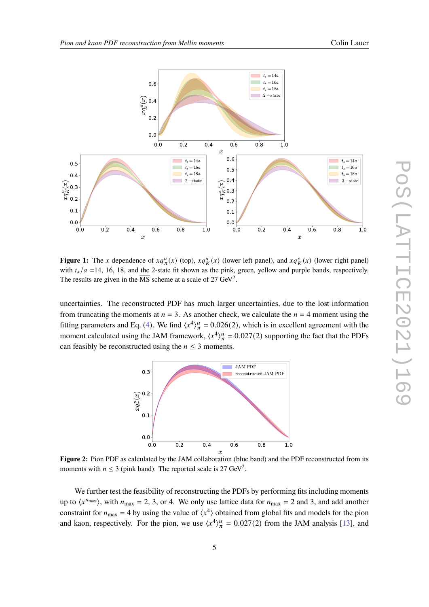<span id="page-4-0"></span>

**Figure 1:** The x dependence of  $xq^u_{\pi}(x)$  (top),  $xq^u_K(x)$  (lower left panel), and  $xq^s_K(x)$  (lower right panel) with  $t_s/a =14$ , 16, 18, and the 2-state fit shown as the pink, green, yellow and purple bands, respectively. The results are given in the  $\overline{\text{MS}}$  scheme at a scale of 27 GeV<sup>2</sup>.

<span id="page-4-1"></span>uncertainties. The reconstructed PDF has much larger uncertainties, due to the lost information from truncating the moments at  $n = 3$ . As another check, we calculate the  $n = 4$  moment using the fitting parameters and Eq. [\(4\)](#page-3-0). We find  $\langle x^4 \rangle_{\pi}^u = 0.026(2)$ , which is in excellent agreement with the moment calculated using the JAM framework,  $\langle x^4 \rangle_{\pi}^u = 0.027(2)$  supporting the fact that the PDFs can feasibly be reconstructed using the  $n \leq 3$  moments.



**Figure 2:** Pion PDF as calculated by the JAM collaboration (blue band) and the PDF reconstructed from its moments with  $n \leq 3$  (pink band). The reported scale is 27 GeV<sup>2</sup>.

We further test the feasibility of reconstructing the PDFs by performing fits including moments up to  $\langle x^{n_{\text{max}}} \rangle$ , with  $n_{\text{max}} = 2, 3$ , or 4. We only use lattice data for  $n_{\text{max}} = 2$  and 3, and add another constraint for  $n_{\text{max}} = 4$  by using the value of  $\langle x^4 \rangle$  obtained from global fits and models for the pion and kaon, respectively. For the pion, we use  $\langle x^4 \rangle_{\pi}^u = 0.027(2)$  from the JAM analysis [\[13\]](#page-9-9), and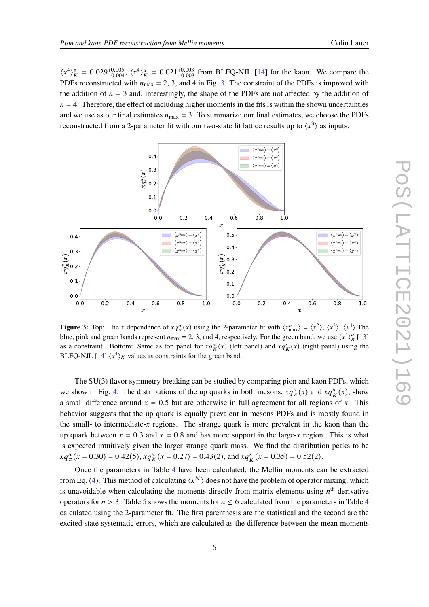$\langle x^4 \rangle_K^s = 0.029^{+0.005}_{-0.004}$ ,  $\langle x^4 \rangle_K^u = 0.021^{+0.003}_{-0.003}$  from BLFQ-NJL [\[14\]](#page-9-10) for the kaon. We compare the PDFs reconstructed with  $n_{\text{max}} = 2$ , 3, and 4 in Fig. [3.](#page-5-0) The constraint of the PDFs is improved with the addition of  $n = 3$  and, interestingly, the shape of the PDFs are not affected by the addition of  $n = 4$ . Therefore, the effect of including higher moments in the fits is within the shown uncertainties and we use as our final estimates  $n_{\text{max}} = 3$ . To summarize our final estimates, we choose the PDFs reconstructed from a 2-parameter fit with our two-state fit lattice results up to  $\langle x^3 \rangle$  as inputs.

<span id="page-5-0"></span>

**Figure 3:** Top: The x dependence of  $xq_{\pi}^u(x)$  using the 2-parameter fit with  $\langle x_{\text{max}}^n \rangle = \langle x^2 \rangle$ ,  $\langle x^3 \rangle$ ,  $\langle x^4 \rangle$  The blue, pink and green bands represent  $n_{\text{max}} = 2, 3$ , and 4, respectively. For the green band, we use  $\langle x^4 \rangle_{\pi}^u$  [\[13\]](#page-9-9) as a constraint. Bottom: Same as top panel for  $xq_K^u(x)$  (left panel) and  $xq_K^s(x)$  (right panel) using the BLFQ-NJL [\[14\]](#page-9-10)  $\langle x^4 \rangle_K$  values as constraints for the green band.

The SU(3) flavor symmetry breaking can be studied by comparing pion and kaon PDFs, which we show in Fig. [4.](#page-6-0) The distributions of the up quarks in both mesons,  $xq^u_{\pi}(x)$  and  $xq^u_K(x)$ , show a small difference around  $x = 0.5$  but are otherwise in full agreement for all regions of x. This behavior suggests that the up quark is equally prevalent in mesons PDFs and is mostly found in the small- to intermediate- $x$  regions. The strange quark is more prevalent in the kaon than the up quark between  $x = 0.3$  and  $x = 0.8$  and has more support in the large-x region. This is what is expected intuitively given the larger strange quark mass. We find the distribution peaks to be  $xq^u_{\pi}(x = 0.30) = 0.42(5), xq^u_{\pi}(x = 0.27) = 0.43(2), \text{ and } xq^s_{\pi}(x = 0.35) = 0.52(2).$ 

Once the parameters in Table [4](#page-3-1) have been calculated, the Mellin moments can be extracted from Eq. [\(4\)](#page-3-0). This method of calculating  $\langle x^N \rangle$  does not have the problem of operator mixing, which is unavoidable when calculating the moments directly from matrix elements using  $n<sup>th</sup>$ -derivative operators for  $n > 3$ . Table [5](#page-6-1) shows the moments for  $n \le 6$  calculated from the parameters in Table [4](#page-3-1) calculated using the 2-parameter fit. The first parenthesis are the statistical and the second are the excited state systematic errors, which are calculated as the difference between the mean moments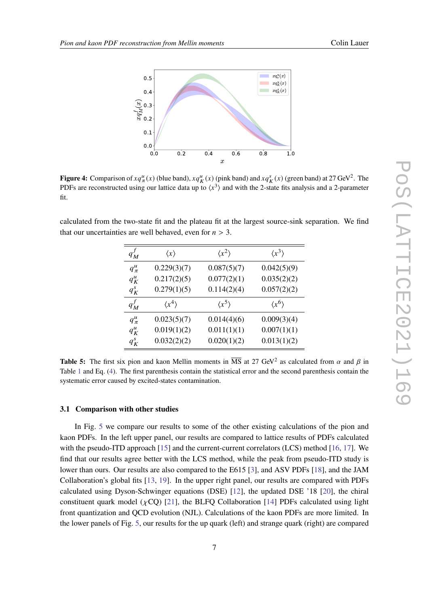<span id="page-6-0"></span>

**Figure 4:** Comparison of  $xq^u_{\pi}(x)$  (blue band),  $xq^u_K(x)$  (pink band) and  $xq^s_K(x)$  (green band) at 27 GeV<sup>2</sup>. The PDFs are reconstructed using our lattice data up to  $\langle x^3 \rangle$  and with the 2-state fits analysis and a 2-parameter fit.

<span id="page-6-1"></span>calculated from the two-state fit and the plateau fit at the largest source-sink separation. We find that our uncertainties are well behaved, even for  $n > 3$ .

| $q_M^j$     | $\langle x \rangle$   | $\langle x^2 \rangle$ | $\langle x^3 \rangle$ |
|-------------|-----------------------|-----------------------|-----------------------|
| $q^u_{\pi}$ | 0.229(3)(7)           | 0.087(5)(7)           | 0.042(5)(9)           |
| $q_K^u$     | 0.217(2)(5)           | 0.077(2)(1)           | 0.035(2)(2)           |
| $q_K^s$     | 0.279(1)(5)           | 0.114(2)(4)           | 0.057(2)(2)           |
| $q_M^f$     | $\langle x^4 \rangle$ | $\langle x^5 \rangle$ | $\langle x^6 \rangle$ |
| $q^u_{\pi}$ | 0.023(5)(7)           | 0.014(4)(6)           | 0.009(3)(4)           |
| $q_K^u$     | 0.019(1)(2)           | 0.011(1)(1)           | 0.007(1)(1)           |
| $q_K^s$     | 0.032(2)(2)           | 0.020(1)(2)           | 0.013(1)(2)           |

**Table 5:** The first six pion and kaon Mellin moments in  $\overline{MS}$  at 27 GeV<sup>2</sup> as calculated from  $\alpha$  and  $\beta$  in Table [1](#page-1-0) and Eq. [\(4\)](#page-3-0). The first parenthesis contain the statistical error and the second parenthesis contain the systematic error caused by excited-states contamination.

#### **3.1 Comparison with other studies**

In Fig. [5](#page-7-0) we compare our results to some of the other existing calculations of the pion and kaon PDFs. In the left upper panel, our results are compared to lattice results of PDFs calculated with the pseudo-ITD approach [\[15\]](#page-9-11) and the current-current correlators (LCS) method [\[16,](#page-9-12) [17\]](#page-9-13). We find that our results agree better with the LCS method, while the peak from pseudo-ITD study is lower than ours. Our results are also compared to the E615 [\[3\]](#page-9-0), and ASV PDFs [\[18\]](#page-10-0), and the JAM Collaboration's global fits [\[13,](#page-9-9) [19\]](#page-10-1). In the upper right panel, our results are compared with PDFs calculated using Dyson-Schwinger equations (DSE) [\[12\]](#page-9-8), the updated DSE '18 [\[20\]](#page-10-2), the chiral constituent quark model ( $\chi$ CQ) [\[21\]](#page-10-3), the BLFQ Collaboration [\[14\]](#page-9-10) PDFs calculated using light front quantization and QCD evolution (NJL). Calculations of the kaon PDFs are more limited. In the lower panels of Fig. [5,](#page-7-0) our results for the up quark (left) and strange quark (right) are compared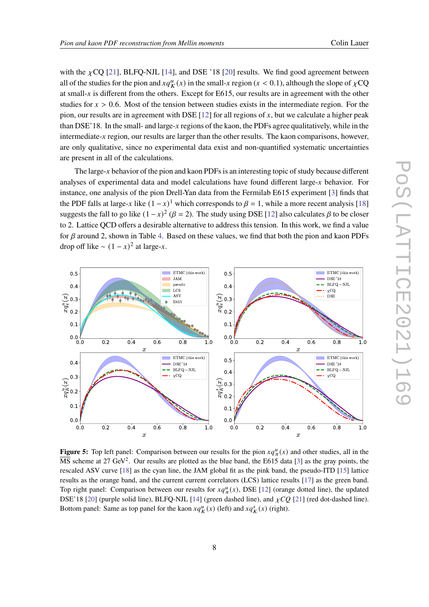with the  $\chi$ CQ [\[21\]](#page-10-3), BLFQ-NJL [\[14\]](#page-9-10), and DSE '18 [\[20\]](#page-10-2) results. We find good agreement between all of the studies for the pion and  $xq_K^u(x)$  in the small-x region ( $x < 0.1$ ), although the slope of  $\chi$ CQ at small- $x$  is different from the others. Except for E615, our results are in agreement with the other studies for  $x > 0.6$ . Most of the tension between studies exists in the intermediate region. For the pion, our results are in agreement with DSE [\[12\]](#page-9-8) for all regions of  $x$ , but we calculate a higher peak than DSE'18. In the small- and large- $x$  regions of the kaon, the PDFs agree qualitatively, while in the intermediate- $x$  region, our results are larger than the other results. The kaon comparisons, however, are only qualitative, since no experimental data exist and non-quantified systematic uncertainties are present in all of the calculations.

The large- $x$  behavior of the pion and kaon PDFs is an interesting topic of study because different analyses of experimental data and model calculations have found different large- $x$  behavior. For instance, one analysis of the pion Drell-Yan data from the Fermilab E615 experiment [\[3\]](#page-9-0) finds that the PDF falls at large-x like  $(1 - x)^{1}$  which corresponds to  $\beta = 1$ , while a more recent analysis [\[18\]](#page-10-0) suggests the fall to go like  $(1-x)^2$  ( $\beta = 2$ ). The study using DSE [\[12\]](#page-9-8) also calculates  $\beta$  to be closer to 2. Lattice QCD offers a desirable alternative to address this tension. In this work, we find a value for  $\beta$  around 2, shown in Table [4.](#page-3-1) Based on these values, we find that both the pion and kaon PDFs drop off like  $\sim (1 - x)^2$  at large-x.

<span id="page-7-0"></span>

**Figure 5:** Top left panel: Comparison between our results for the pion  $xq_{\pi}^u(x)$  and other studies, all in the  $\overline{\text{MS}}$  scheme at 27 GeV<sup>2</sup>. Our results are plotted as the blue band, the E615 data [\[3\]](#page-9-0) as the gray points, the rescaled ASV curve [\[18\]](#page-10-0) as the cyan line, the JAM global fit as the pink band, the pseudo-ITD [\[15\]](#page-9-11) lattice results as the orange band, and the current current correlators (LCS) lattice results [\[17\]](#page-9-13) as the green band. Top right panel: Comparison between our results for  $xq^u_{\pi}(x)$ , DSE [\[12\]](#page-9-8) (orange dotted line), the updated DSE'18 [\[20\]](#page-10-2) (purple solid line), BLFQ-NJL [\[14\]](#page-9-10) (green dashed line), and  $\chi CQ$  [\[21\]](#page-10-3) (red dot-dashed line). Bottom panel: Same as top panel for the kaon  $xq_K^u(x)$  (left) and  $xq_K^s(x)$  (right).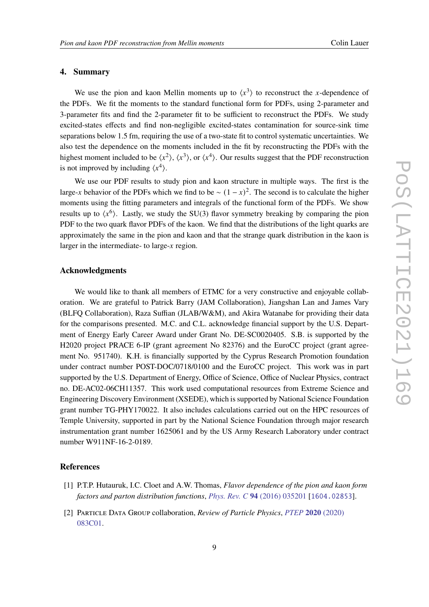## **4. Summary**

We use the pion and kaon Mellin moments up to  $\langle x^3 \rangle$  to reconstruct the x-dependence of the PDFs. We fit the moments to the standard functional form for PDFs, using 2-parameter and 3-parameter fits and find the 2-parameter fit to be sufficient to reconstruct the PDFs. We study excited-states effects and find non-negligible excited-states contamination for source-sink time separations below 1.5 fm, requiring the use of a two-state fit to control systematic uncertainties. We also test the dependence on the moments included in the fit by reconstructing the PDFs with the highest moment included to be  $\langle x^2 \rangle$ ,  $\langle x^3 \rangle$ , or  $\langle x^4 \rangle$ . Our results suggest that the PDF reconstruction is not improved by including  $\langle x^4 \rangle$ .

We use our PDF results to study pion and kaon structure in multiple ways. The first is the large-x behavior of the PDFs which we find to be  $\sim (1 - x)^2$ . The second is to calculate the higher moments using the fitting parameters and integrals of the functional form of the PDFs. We show results up to  $\langle x^6 \rangle$ . Lastly, we study the SU(3) flavor symmetry breaking by comparing the pion PDF to the two quark flavor PDFs of the kaon. We find that the distributions of the light quarks are approximately the same in the pion and kaon and that the strange quark distribution in the kaon is larger in the intermediate- to large- $x$  region.

#### **Acknowledgments**

We would like to thank all members of ETMC for a very constructive and enjoyable collaboration. We are grateful to Patrick Barry (JAM Collaboration), Jiangshan Lan and James Vary (BLFQ Collaboration), Raza Suffian (JLAB/W&M), and Akira Watanabe for providing their data for the comparisons presented. M.C. and C.L. acknowledge financial support by the U.S. Department of Energy Early Career Award under Grant No. DE-SC0020405. S.B. is supported by the H2020 project PRACE 6-IP (grant agreement No 82376) and the EuroCC project (grant agreement No. 951740). K.H. is financially supported by the Cyprus Research Promotion foundation under contract number POST-DOC/0718/0100 and the EuroCC project. This work was in part supported by the U.S. Department of Energy, Office of Science, Office of Nuclear Physics, contract no. DE-AC02-06CH11357. This work used computational resources from Extreme Science and Engineering Discovery Environment (XSEDE), which is supported by National Science Foundation grant number TG-PHY170022. It also includes calculations carried out on the HPC resources of Temple University, supported in part by the National Science Foundation through major research instrumentation grant number 1625061 and by the US Army Research Laboratory under contract number W911NF-16-2-0189.

#### **References**

- <span id="page-8-0"></span>[1] P.T.P. Hutauruk, I.C. Cloet and A.W. Thomas, *Flavor dependence of the pion and kaon form factors and parton distribution functions*, *[Phys. Rev. C](https://doi.org/10.1103/PhysRevC.94.035201)* **94** (2016) 035201 [[1604.02853](https://arxiv.org/abs/1604.02853)].
- <span id="page-8-1"></span>[2] Particle Data Group collaboration, *Review of Particle Physics*, *[PTEP](https://doi.org/10.1093/ptep/ptaa104)* **2020** (2020) [083C01.](https://doi.org/10.1093/ptep/ptaa104)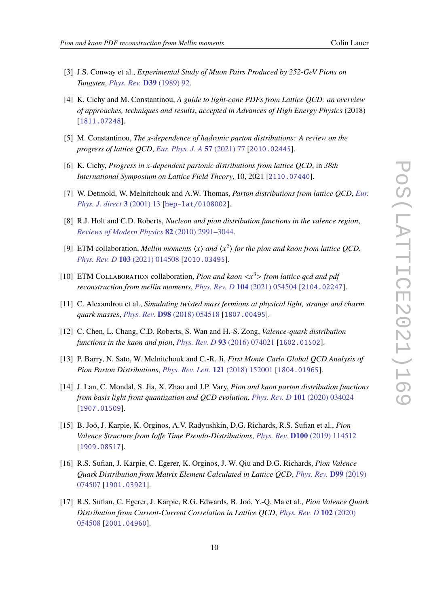- <span id="page-9-0"></span>[3] J.S. Conway et al., *Experimental Study of Muon Pairs Produced by 252-GeV Pions on Tungsten*, *[Phys. Rev.](https://doi.org/10.1103/PhysRevD.39.92)* **D39** (1989) 92.
- <span id="page-9-1"></span>[4] K. Cichy and M. Constantinou, *A guide to light-cone PDFs from Lattice QCD: an overview of approaches, techniques and results*, *accepted in Advances of High Energy Physics* (2018) [[1811.07248](https://arxiv.org/abs/1811.07248)].
- [5] M. Constantinou, *The x-dependence of hadronic parton distributions: A review on the progress of lattice QCD*, *[Eur. Phys. J. A](https://doi.org/10.1140/epja/s10050-021-00353-7)* **57** (2021) 77 [[2010.02445](https://arxiv.org/abs/2010.02445)].
- <span id="page-9-2"></span>[6] K. Cichy, *Progress in x-dependent partonic distributions from lattice OCD*, in 38th *International Symposium on Lattice Field Theory*, 10, 2021 [[2110.07440](https://arxiv.org/abs/2110.07440)].
- <span id="page-9-3"></span>[7] W. Detmold, W. Melnitchouk and A.W. Thomas, *Parton distributions from lattice QCD*, *[Eur.](https://doi.org/10.1007/s1010501c0013) [Phys. J. direct](https://doi.org/10.1007/s1010501c0013)* **3** (2001) 13 [[hep-lat/0108002](https://arxiv.org/abs/hep-lat/0108002)].
- <span id="page-9-4"></span>[8] R.J. Holt and C.D. Roberts, *Nucleon and pion distribution functions in the valence region*, *[Reviews of Modern Physics](https://doi.org/10.1103/revmodphys.82.2991)* **82** (2010) 2991–3044.
- <span id="page-9-5"></span>[9] ETM collaboration, *Mellin moments*  $\langle x \rangle$  *and*  $\langle x^2 \rangle$  *for the pion and kaon from lattice QCD*, *[Phys. Rev. D](https://doi.org/10.1103/PhysRevD.103.014508)* **103** (2021) 014508 [[2010.03495](https://arxiv.org/abs/2010.03495)].
- <span id="page-9-6"></span>[10] ETM COLLABORATION collaboration, *Pion and kaon*  $\langle x^3 \rangle$  *from lattice gcd and pdf reconstruction from mellin moments*, *[Phys. Rev. D](https://doi.org/10.1103/PhysRevD.104.054504)* **104** (2021) 054504 [[2104.02247](https://arxiv.org/abs/2104.02247)].
- <span id="page-9-7"></span>[11] C. Alexandrou et al., *Simulating twisted mass fermions at physical light, strange and charm quark masses*, *Phys. Rev.* **D98** [\(2018\) 054518](https://doi.org/10.1103/PhysRevD.98.054518) [[1807.00495](https://arxiv.org/abs/1807.00495)].
- <span id="page-9-8"></span>[12] C. Chen, L. Chang, C.D. Roberts, S. Wan and H.-S. Zong, *Valence-quark distribution functions in the kaon and pion*, *[Phys. Rev. D](https://doi.org/10.1103/PhysRevD.93.074021)* **93** (2016) 074021 [[1602.01502](https://arxiv.org/abs/1602.01502)].
- <span id="page-9-9"></span>[13] P. Barry, N. Sato, W. Melnitchouk and C.-R. Ji, *First Monte Carlo Global QCD Analysis of Pion Parton Distributions*, *[Phys. Rev. Lett.](https://doi.org/10.1103/PhysRevLett.121.152001)* **121** (2018) 152001 [[1804.01965](https://arxiv.org/abs/1804.01965)].
- <span id="page-9-10"></span>[14] J. Lan, C. Mondal, S. Jia, X. Zhao and J.P. Vary, *Pion and kaon parton distribution functions from basis light front quantization and QCD evolution*, *[Phys. Rev. D](https://doi.org/10.1103/PhysRevD.101.034024)* **101** (2020) 034024 [[1907.01509](https://arxiv.org/abs/1907.01509)].
- <span id="page-9-11"></span>[15] B. Joó, J. Karpie, K. Orginos, A.V. Radyushkin, D.G. Richards, R.S. Sufian et al., *Pion Valence Structure from Ioffe Time Pseudo-Distributions*, *Phys. Rev.* **D100** [\(2019\) 114512](https://doi.org/10.1103/PhysRevD.100.114512) [[1909.08517](https://arxiv.org/abs/1909.08517)].
- <span id="page-9-12"></span>[16] R.S. Sufian, J. Karpie, C. Egerer, K. Orginos, J.-W. Qiu and D.G. Richards, *Pion Valence Quark Distribution from Matrix Element Calculated in Lattice QCD*, *[Phys. Rev.](https://doi.org/10.1103/PhysRevD.99.074507)* **D99** (2019) [074507](https://doi.org/10.1103/PhysRevD.99.074507) [[1901.03921](https://arxiv.org/abs/1901.03921)].
- <span id="page-9-13"></span>[17] R.S. Sufian, C. Egerer, J. Karpie, R.G. Edwards, B. Joó, Y.-Q. Ma et al., *Pion Valence Quark Distribution from Current-Current Correlation in Lattice QCD*, *[Phys. Rev. D](https://doi.org/10.1103/PhysRevD.102.054508)* **102** (2020) [054508](https://doi.org/10.1103/PhysRevD.102.054508) [[2001.04960](https://arxiv.org/abs/2001.04960)].